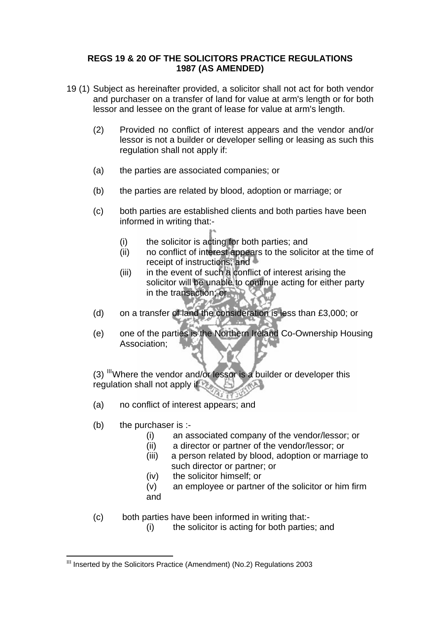## **REGS 19 & 20 OF THE SOLICITORS PRACTICE REGULATIONS 1987 (AS AMENDED)**

- 19 (1) Subject as hereinafter provided, a solicitor shall not act for both vendor and purchaser on a transfer of land for value at arm's length or for both lessor and lessee on the grant of lease for value at arm's length.
	- (2) Provided no conflict of interest appears and the vendor and/or lessor is not a builder or developer selling or leasing as such this regulation shall not apply if:
	- (a) the parties are associated companies; or
	- (b) the parties are related by blood, adoption or marriage; or
	- (c) both parties are established clients and both parties have been informed in writing that:-
		- (i) the solicitor is acting for both parties; and
		- (ii) no conflict of interest appears to the solicitor at the time of receipt of instructions; and
		- $(iii)$  in the event of such a conflict of interest arising the solicitor will be unable to continue acting for either party in the transaction; or
	- (d) on a transfer of land the consideration is less than £3,000; or
	- (e) one of the parties is the Northern Ireland Co-Ownership Housing Association;

 $(3)$  [III](#page-0-0)Where the vendor and/or lessor is a builder or developer this regulation shall not apply if

- (a) no conflict of interest appears; and
- $(b)$  the purchaser is :-

 $\overline{a}$ 

- (i) an associated company of the vendor/lessor; or
- (ii) a director or partner of the vendor/lessor; or
- (iii) a person related by blood, adoption or marriage to such director or partner; or
- (iv) the solicitor himself; or
- (v) an employee or partner of the solicitor or him firm and
- (c) both parties have been informed in writing that:-
	- (i) the solicitor is acting for both parties; and

<span id="page-0-0"></span> $III$  Inserted by the Solicitors Practice (Amendment) (No.2) Regulations 2003